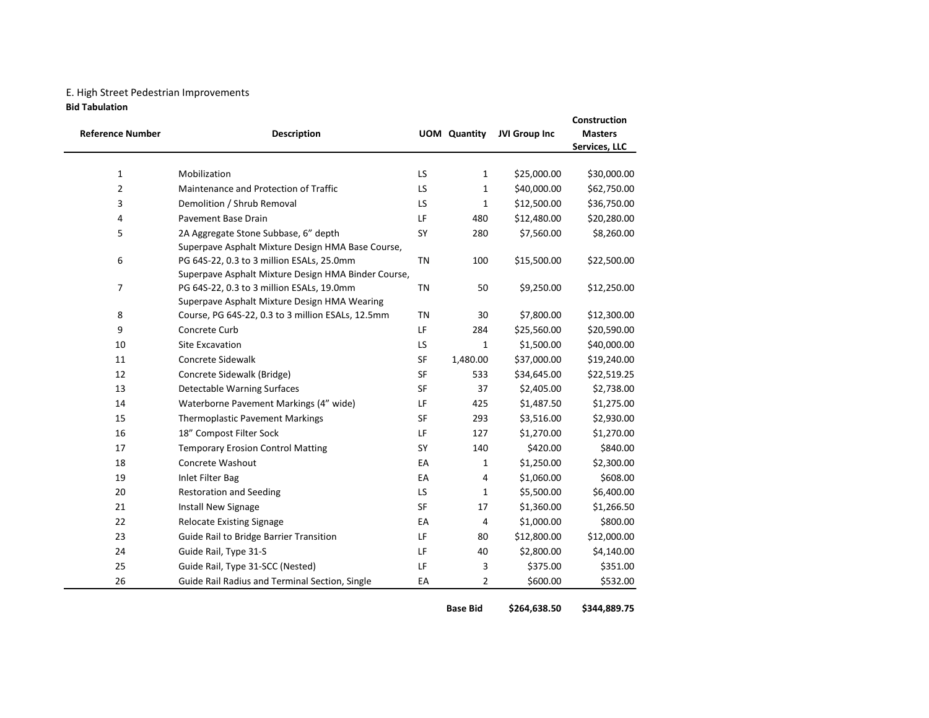## E. High Street Pedestrian Improvements

Bid Tabulation

| <b>Reference Number</b>        | <b>Description</b>                                                                               |           | <b>UOM</b> Quantity | JVI Group Inc              | Construction<br><b>Masters</b><br>Services, LLC |
|--------------------------------|--------------------------------------------------------------------------------------------------|-----------|---------------------|----------------------------|-------------------------------------------------|
|                                | Mobilization                                                                                     | LS        |                     |                            |                                                 |
| $\mathbf{1}$<br>$\overline{2}$ | Maintenance and Protection of Traffic                                                            | LS        | 1<br>1              | \$25,000.00<br>\$40,000.00 | \$30,000.00                                     |
| 3                              |                                                                                                  | LS        | $\mathbf{1}$        |                            | \$62,750.00                                     |
|                                | Demolition / Shrub Removal                                                                       |           |                     | \$12,500.00                | \$36,750.00                                     |
| 4                              | <b>Pavement Base Drain</b>                                                                       | LF        | 480                 | \$12,480.00                | \$20,280.00                                     |
| 5                              | 2A Aggregate Stone Subbase, 6" depth                                                             | SY        | 280                 | \$7,560.00                 | \$8,260.00                                      |
|                                | Superpave Asphalt Mixture Design HMA Base Course,                                                | <b>TN</b> | 100                 |                            |                                                 |
| 6                              | PG 64S-22, 0.3 to 3 million ESALs, 25.0mm<br>Superpave Asphalt Mixture Design HMA Binder Course, |           |                     | \$15,500.00                | \$22,500.00                                     |
| $\overline{7}$                 | PG 64S-22, 0.3 to 3 million ESALs, 19.0mm                                                        | <b>TN</b> | 50                  | \$9,250.00                 | \$12,250.00                                     |
|                                | Superpave Asphalt Mixture Design HMA Wearing                                                     |           |                     |                            |                                                 |
| 8                              | Course, PG 64S-22, 0.3 to 3 million ESALs, 12.5mm                                                | <b>TN</b> | 30                  | \$7,800.00                 | \$12,300.00                                     |
| 9                              | Concrete Curb                                                                                    | LF        | 284                 | \$25,560.00                | \$20,590.00                                     |
| 10                             | <b>Site Excavation</b>                                                                           | LS        | 1                   | \$1,500.00                 | \$40,000.00                                     |
| 11                             | <b>Concrete Sidewalk</b>                                                                         | SF        | 1,480.00            | \$37,000.00                | \$19,240.00                                     |
| 12                             | Concrete Sidewalk (Bridge)                                                                       | SF        | 533                 | \$34,645.00                | \$22,519.25                                     |
| 13                             | Detectable Warning Surfaces                                                                      | SF        | 37                  | \$2,405.00                 | \$2,738.00                                      |
| 14                             | Waterborne Pavement Markings (4" wide)                                                           | LF        | 425                 | \$1,487.50                 | \$1,275.00                                      |
| 15                             | <b>Thermoplastic Pavement Markings</b>                                                           | SF        | 293                 | \$3,516.00                 | \$2,930.00                                      |
| 16                             | 18" Compost Filter Sock                                                                          | LF        | 127                 | \$1,270.00                 | \$1,270.00                                      |
| 17                             | <b>Temporary Erosion Control Matting</b>                                                         | SY        | 140                 | \$420.00                   | \$840.00                                        |
| 18                             | Concrete Washout                                                                                 | EA        | $\mathbf{1}$        | \$1,250.00                 | \$2,300.00                                      |
| 19                             | Inlet Filter Bag                                                                                 | EA        | 4                   | \$1,060.00                 | \$608.00                                        |
| 20                             | <b>Restoration and Seeding</b>                                                                   | LS        | $\mathbf{1}$        | \$5,500.00                 | \$6,400.00                                      |
| 21                             | Install New Signage                                                                              | SF        | 17                  | \$1,360.00                 | \$1,266.50                                      |
| 22                             | <b>Relocate Existing Signage</b>                                                                 | EA        | 4                   | \$1,000.00                 | \$800.00                                        |
| 23                             | <b>Guide Rail to Bridge Barrier Transition</b>                                                   | LF        | 80                  | \$12,800.00                | \$12,000.00                                     |
| 24                             | Guide Rail, Type 31-S                                                                            | LF        | 40                  | \$2,800.00                 | \$4,140.00                                      |
| 25                             | Guide Rail, Type 31-SCC (Nested)                                                                 | LF        | 3                   | \$375.00                   | \$351.00                                        |
| 26                             | Guide Rail Radius and Terminal Section, Single                                                   | EA        | 2                   | \$600.00                   | \$532.00                                        |

Base Bid \$264,638.50 \$344,889.75